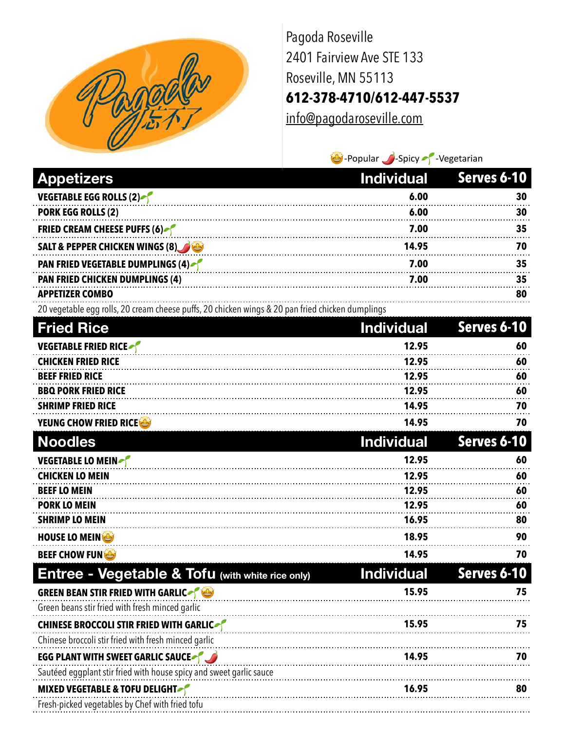

Pagoda Roseville 2401 Fairview Ave STE 133 Roseville, MN 55113 **612-378-4710/612-447-5537**

[info@pagodaroseville.com](mailto:info@pagodaroseville.com)

 $\bigcirc$ -Popular  $\bigcirc$ -Spicy  $\bigcirc$ -Vegetarian

| <b>Appetizers</b>                                                                                | <b>Individual</b> | Serves 6-10 |
|--------------------------------------------------------------------------------------------------|-------------------|-------------|
| VEGETABLE EGG ROLLS (2)                                                                          | 6.00              | 30          |
| <b>PORK EGG ROLLS (2)</b>                                                                        | 6.00              | 30          |
| <b>FRIED CREAM CHEESE PUFFS (6)</b>                                                              | 7.00              | 35          |
| <b>SALT &amp; PEPPER CHICKEN WINGS (8)</b>                                                       | 14.95             | 70          |
| <b>PAN FRIED VEGETABLE DUMPLINGS (4)</b>                                                         | 7.00              | 35          |
| <b>PAN FRIED CHICKEN DUMPLINGS (4)</b>                                                           | 7.00              | 35          |
| <b>APPETIZER COMBO</b>                                                                           |                   | 80          |
| 20 vegetable egg rolls, 20 cream cheese puffs, 20 chicken wings & 20 pan fried chicken dumplings |                   |             |
| <b>Fried Rice</b>                                                                                | <b>Individual</b> | Serves 6-10 |
| <b>VEGETABLE FRIED RICE</b>                                                                      | 12.95             | 60          |
| <b>CHICKEN FRIED RICE</b>                                                                        | 12.95             | 60          |
| <b>BEEF FRIED RICE</b>                                                                           | 12.95             | 60          |
| <b>BBQ PORK FRIED RICE</b><br><b>SHRIMP FRIED RICE</b>                                           | 12.95<br>14.95    | 60<br>70    |
| YEUNG CHOW FRIED RICE                                                                            | 14.95             | 70          |
|                                                                                                  |                   |             |
| <b>Noodles</b>                                                                                   | <b>Individual</b> | Serves 6-10 |
| <b>VEGETABLE LO MEIN</b>                                                                         | 12.95             | 60          |
| <b>CHICKEN LO MEIN</b><br><b>BEEF LO MEIN</b>                                                    | 12.95<br>12.95    | 60<br>60    |
| <b>PORK LO MEIN</b>                                                                              | 12.95             | 60          |
| <b>SHRIMP LO MEIN</b>                                                                            | 16.95             | 80          |
| <b>HOUSE LO MEIN</b>                                                                             | 18.95             | 90          |
| <b>BEEF CHOW FUNCE</b>                                                                           | 14.95             | 70          |
| <b>Entree - Vegetable &amp; Tofu (with white rice only)</b>                                      | <b>Individual</b> | Serves 6-10 |
| GREEN BEAN STIR FRIED WITH GARLIC                                                                | 15.95             | 75          |
| Green beans stir fried with fresh minced garlic                                                  |                   |             |
| <b>CHINESE BROCCOLI STIR FRIED WITH GARLICATE</b>                                                | 15.95             | 75          |
| Chinese broccoli stir fried with fresh minced garlic                                             |                   |             |
| <b>EGG PLANT WITH SWEET GARLIC SAUCE OF LANT</b>                                                 | 14.95             | 70          |
| Sautéed eggplant stir fried with house spicy and sweet garlic sauce                              |                   |             |
| <b>MIXED VEGETABLE &amp; TOFU DELIGHT</b>                                                        | 16.95             | 80          |
| Fresh-picked vegetables by Chef with fried tofu                                                  |                   |             |